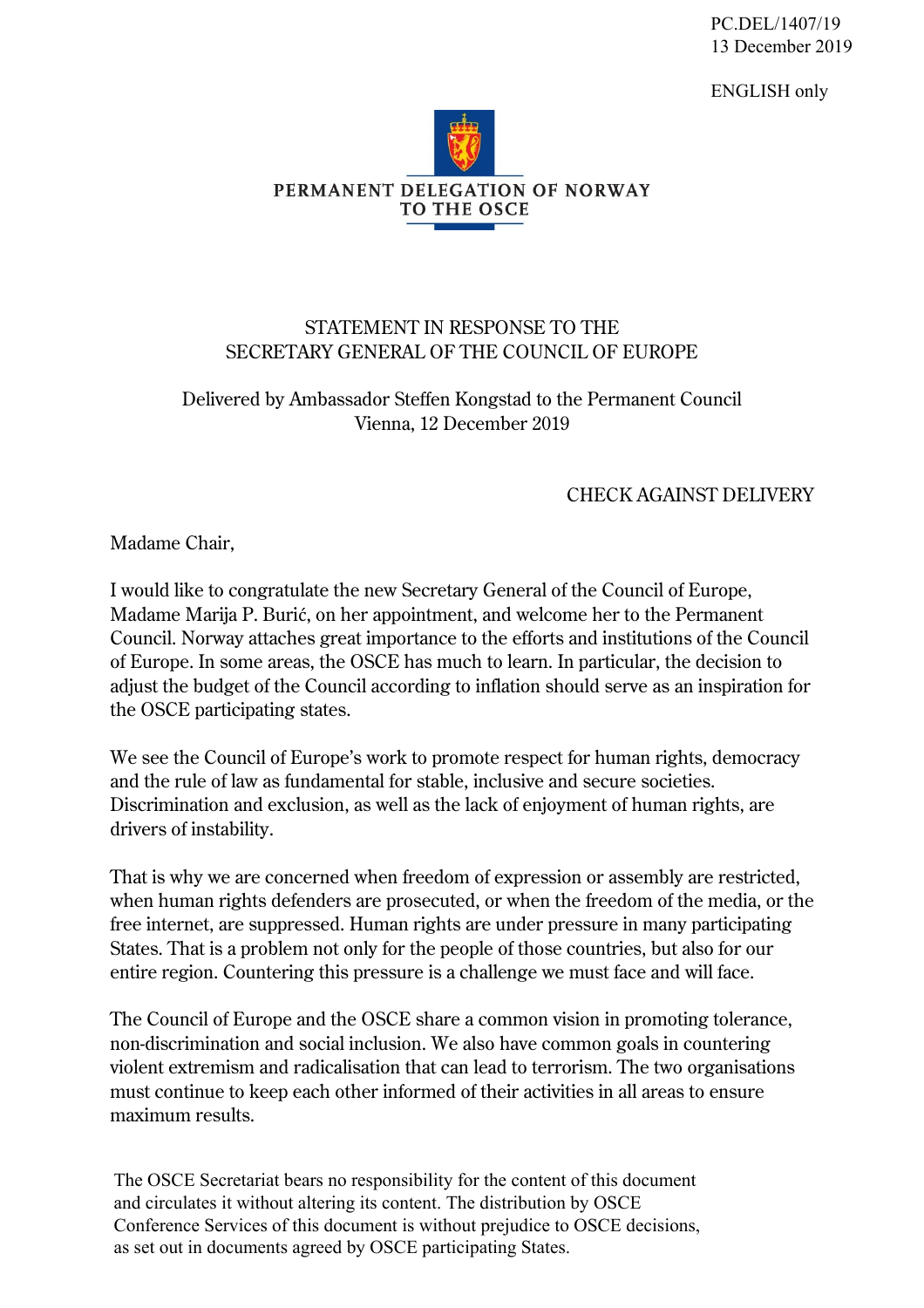PC.DEL/1407/19 13 December 2019

ENGLISH only



## STATEMENT IN RESPONSE TO THE SECRETARY GENERAL OF THE COUNCIL OF EUROPE

## Delivered by Ambassador Steffen Kongstad to the Permanent Council Vienna, 12 December 2019

## CHECK AGAINST DELIVERY

Madame Chair,

I would like to congratulate the new Secretary General of the Council of Europe, Madame Marija P. Burić, on her appointment, and welcome her to the Permanent Council. Norway attaches great importance to the efforts and institutions of the Council of Europe. In some areas, the OSCE has much to learn. In particular, the decision to adjust the budget of the Council according to inflation should serve as an inspiration for the OSCE participating states.

We see the Council of Europe's work to promote respect for human rights, democracy and the rule of law as fundamental for stable, inclusive and secure societies. Discrimination and exclusion, as well as the lack of enjoyment of human rights, are drivers of instability.

That is why we are concerned when freedom of expression or assembly are restricted, when human rights defenders are prosecuted, or when the freedom of the media, or the free internet, are suppressed. Human rights are under pressure in many participating States. That is a problem not only for the people of those countries, but also for our entire region. Countering this pressure is a challenge we must face and will face.

The Council of Europe and the OSCE share a common vision in promoting tolerance, non-discrimination and social inclusion. We also have common goals in countering violent extremism and radicalisation that can lead to terrorism. The two organisations must continue to keep each other informed of their activities in all areas to ensure maximum results.

The OSCE Secretariat bears no responsibility for the content of this document and circulates it without altering its content. The distribution by OSCE Conference Services of this document is without prejudice to OSCE decisions, as set out in documents agreed by OSCE participating States.